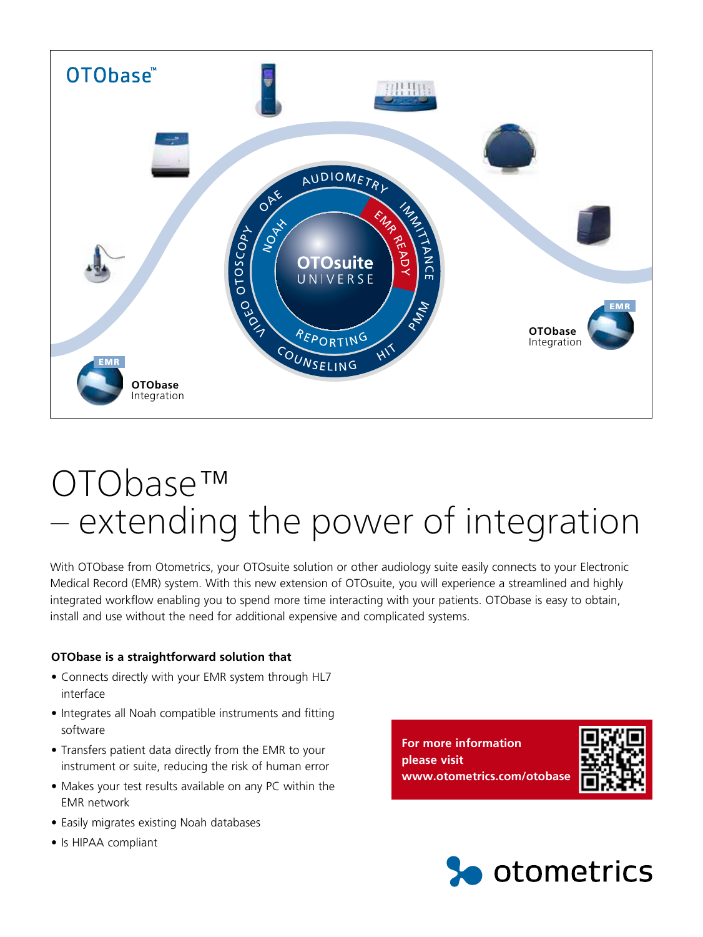

## OTObase™ – extending the power of integration

With OTObase from Otometrics, your OTOsuite solution or other audiology suite easily connects to your Electronic Medical Record (EMR) system. With this new extension of OTOsuite, you will experience a streamlined and highly integrated workflow enabling you to spend more time interacting with your patients. OTObase is easy to obtain, install and use without the need for additional expensive and complicated systems.

## **OTObase is a straightforward solution that**

- Connects directly with your EMR system through HL7 interface
- Integrates all Noah compatible instruments and fitting software
- Transfers patient data directly from the EMR to your instrument or suite, reducing the risk of human error
- Makes your test results available on any PC within the EMR network
- Easily migrates existing Noah databases
- Is HIPAA compliant

**For more information please visit www.otometrics.com/otobase**